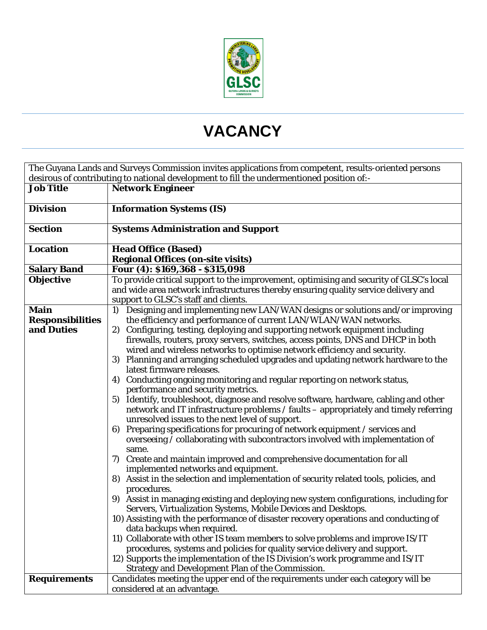

## **VACANCY**

| The Guyana Lands and Surveys Commission invites applications from competent, results-oriented persons |                                                                                                                               |
|-------------------------------------------------------------------------------------------------------|-------------------------------------------------------------------------------------------------------------------------------|
| desirous of contributing to national development to fill the undermentioned position of:-             |                                                                                                                               |
| <b>Job Title</b>                                                                                      | <b>Network Engineer</b>                                                                                                       |
|                                                                                                       |                                                                                                                               |
| <b>Division</b>                                                                                       | <b>Information Systems (IS)</b>                                                                                               |
| <b>Section</b>                                                                                        |                                                                                                                               |
|                                                                                                       | <b>Systems Administration and Support</b>                                                                                     |
| <b>Location</b>                                                                                       | <b>Head Office (Based)</b>                                                                                                    |
|                                                                                                       | <b>Regional Offices (on-site visits)</b>                                                                                      |
| <b>Salary Band</b>                                                                                    | Four (4): \$169,368 - \$315,098                                                                                               |
| <b>Objective</b>                                                                                      | To provide critical support to the improvement, optimising and security of GLSC's local                                       |
|                                                                                                       | and wide area network infrastructures thereby ensuring quality service delivery and                                           |
|                                                                                                       | support to GLSC's staff and clients.                                                                                          |
| <b>Main</b>                                                                                           | 1) Designing and implementing new LAN/WAN designs or solutions and/or improving                                               |
| <b>Responsibilities</b>                                                                               | the efficiency and performance of current LAN/WLAN/WAN networks.                                                              |
| and Duties                                                                                            | Configuring, testing, deploying and supporting network equipment including<br>2)                                              |
|                                                                                                       | firewalls, routers, proxy servers, switches, access points, DNS and DHCP in both                                              |
|                                                                                                       | wired and wireless networks to optimise network efficiency and security.                                                      |
|                                                                                                       | Planning and arranging scheduled upgrades and updating network hardware to the<br>3)                                          |
|                                                                                                       | latest firmware releases.                                                                                                     |
|                                                                                                       | Conducting ongoing monitoring and regular reporting on network status,<br>4)                                                  |
|                                                                                                       | performance and security metrics.                                                                                             |
|                                                                                                       | 5) Identify, troubleshoot, diagnose and resolve software, hardware, cabling and other                                         |
|                                                                                                       | network and IT infrastructure problems / faults - appropriately and timely referring                                          |
|                                                                                                       | unresolved issues to the next level of support.                                                                               |
|                                                                                                       | 6) Preparing specifications for procuring of network equipment / services and                                                 |
|                                                                                                       | overseeing / collaborating with subcontractors involved with implementation of                                                |
|                                                                                                       | same.                                                                                                                         |
|                                                                                                       | 7) Create and maintain improved and comprehensive documentation for all                                                       |
|                                                                                                       | implemented networks and equipment.<br>8) Assist in the selection and implementation of security related tools, policies, and |
|                                                                                                       | procedures.                                                                                                                   |
|                                                                                                       | 9) Assist in managing existing and deploying new system configurations, including for                                         |
|                                                                                                       | Servers, Virtualization Systems, Mobile Devices and Desktops.                                                                 |
|                                                                                                       | 10) Assisting with the performance of disaster recovery operations and conducting of                                          |
|                                                                                                       | data backups when required.                                                                                                   |
|                                                                                                       | 11) Collaborate with other IS team members to solve problems and improve IS/IT                                                |
|                                                                                                       | procedures, systems and policies for quality service delivery and support.                                                    |
|                                                                                                       | 12) Supports the implementation of the IS Division's work programme and IS/IT                                                 |
|                                                                                                       | <b>Strategy and Development Plan of the Commission.</b>                                                                       |
| <b>Requirements</b>                                                                                   | Candidates meeting the upper end of the requirements under each category will be                                              |
|                                                                                                       | considered at an advantage.                                                                                                   |